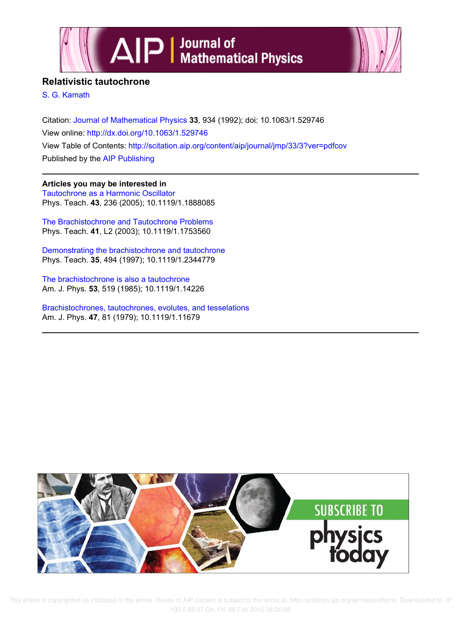



## **Relativistic tautochrone**

S. G. Kamath

Citation: Journal of Mathematical Physics **33**, 934 (1992); doi: 10.1063/1.529746 View online: http://dx.doi.org/10.1063/1.529746 View Table of Contents: http://scitation.aip.org/content/aip/journal/jmp/33/3?ver=pdfcov Published by the AIP Publishing

**Articles you may be interested in** Tautochrone as a Harmonic Oscillator Phys. Teach. **43**, 236 (2005); 10.1119/1.1888085

The Brachistochrone and Tautochrone Problems Phys. Teach. **41**, L2 (2003); 10.1119/1.1753560

Demonstrating the brachistochrone and tautochrone Phys. Teach. **35**, 494 (1997); 10.1119/1.2344779

The brachistochrone is also a tautochrone Am. J. Phys. **53**, 519 (1985); 10.1119/1.14226

Brachistochrones, tautochrones, evolutes, and tesselations Am. J. Phys. **47**, 81 (1979); 10.1119/1.11679



 This article is copyrighted as indicated in the article. Reuse of AIP content is subject to the terms at: http://scitation.aip.org/termsconditions. Downloaded to IP: 193.0.65.67 On: Fri, 06 Feb 2015 08:26:08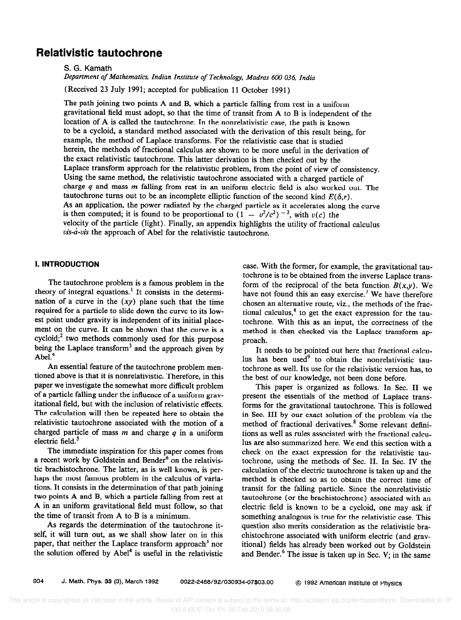# Relativistic tautochrone

S. G. Kamath

Department of Mathematics, Indian Institute of Technology, Madras 600 036, India

(Received 23 July 1991; accepted for publication 11 October 1991)

The path joining two points A and B, which a particle falling from rest in a uniform gravitational field must adopt, so that the time of transit from A to B is independent of the location of A is called the tautochrone. In the nonrelativistic case, the path is known to be a cycloid, a standard method associated with the derivation of this result being, for example, the method of Laplace transforms. For the relativistic case that is studied herein, the methods of fractional calculus are shown to be more useful in the derivation of the exact relativistic tautochrone. This latter derivation is then checked out by the Laplace transform approach for the relativistic problem, from the point of view of consistency. Using the same method, the relativistic tautochrone associated with a charged particle of charge  $q$  and mass  $m$  falling from rest in an uniform electric field is also worked out. The tautochrone turns out to be an incomplete elliptic function of the second kind  $E(\delta,r)$ . As an application, the power radiated by the charged particle as it accelerates along the curve is then computed; it is found to be proportional to  $(1 - v^2/c^2)^{-2}$ , with  $v(c)$  the velocity of the particle (light). Finally, an appendix highlights the utility of fractional calculus  $vis-*a*-vis$  the approach of Abel for the relativistic tautochrone.

### I. INTRODUCTION

The tautochrone problem is a famous problem in the theory of integral equations.' It consists in the determination of a curve in the  $(xy)$  plane such that the time required for a particle to slide down the curve to its lowest point under gravity is independent of its initial placement on the curve. It can be shown that the curve is a cycloid; $<sup>2</sup>$  two methods commonly used for this purpose</sup> being the Laplace transform<sup>3</sup> and the approach given by Abel.<sup>4</sup>

An essential feature of the tautochrone problem mentioned above is that it is nonrelativistic. Therefore, in this paper we investigate the somewhat more difficult problem of a particle falling under the influence of a uniform gravitational field, but with the inclusion of relativistic effects. The calculation will then be repeated here to obtain the relativistic tautochrone associated with the motion of a charged particle of mass  $m$  and charge  $q$  in a uniform electric field.<sup>5</sup>

The immediate inspiration for this paper comes from a recent work by Goldstein and Bender $6$  on the relativistic brachistochrone. The latter, as is well known, is perhaps the most famous problem in the calculus of variations. It consists in the determination of that path joining two points A and B, which a particle falling from rest at A in an uniform gravitational field must follow, so that the time of transit from A to B is a minimum.

As regards the determination of the tautochrone itself, it will turn out, as we shall show later on in this paper, that neither the Laplace transform approach<sup>3</sup> nor the solution offered by  $Abel<sup>4</sup>$  is useful in the relativistic

case. With the former, for example, the gravitational tautochrone is to be obtained from the inverse Laplace transform of the reciprocal of the beta function  $B(x,y)$ . We have not found this an easy exercise.<sup>7</sup> We have therefore chosen an alternative route, viz., the methods of the fractional calculus,<sup>8</sup> to get the exact expression for the tautochrone. With this as an input, the correctness of the method is then checked via the Laplace transform approach.

It needs to be pointed out here that fractional calculus has been used' to obtain the nonrelativistic tautochrone as well. Its use for the relativistic version has, to the best of our knowledge, not been done before.

This paper is organized as follows. In Sec. II we present the essentials of the method of Laplace transforms for the gravitational tautochrone. This is followed in Sec. III by our exact solution of the problem via the method of fractional derivatives.<sup>8</sup> Some relevant definitions as well as rules associated with the fractional calculus are also summarized here. We end this section with a check on the exact expression for the relativistic tautochrone, using the methods of Sec. II. In Sec. IV the calculation of the electric tautochrone is taken up and the method is checked so as to obtain the correct time of transit for the falling particle. Since the nonrelativistic tautochrone (or the brachistochrone) associated with an electric field is, known to be a cycloid, one may ask if something analogous is true for the relativistic case. This question also merits consideration as the relativistic brachistochrone associated with uniform electric (and gravitional) fields has already been worked out by Goldstein and Bender. $6$  The issue is taken up in Sec. V; in the same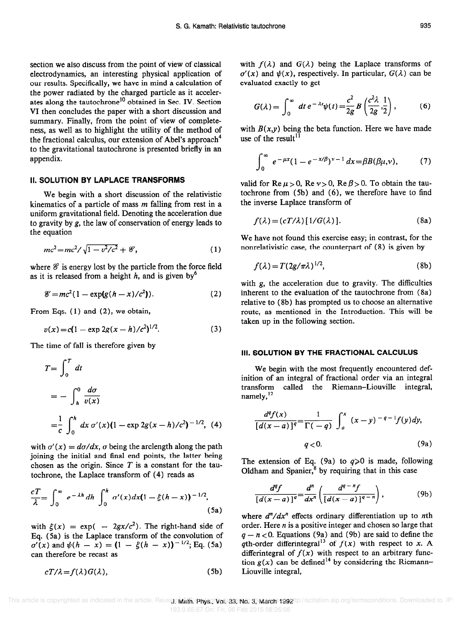section we also discuss from the point of view of classical electrodynamics, an interesting physical application of our results. Specifically, we have in mind a calculation of the power radiated by the charged particle as it accelerates along the tautochrone<sup>10</sup> obtained in Sec. IV. Section VI then concludes the paper with a short discussion and summary. Finally, from the point of view of completeness, as well as to highlight the utility of the method of the fractional calculus, our extension of Abel's approach<sup>4</sup> to the gravitational tautochrone is presented briefly in an appendix.

#### II. SOLUTION BY LAPLACE TRANSFORMS

We begin with a short discussion of the relativistic kinematics of a particle of mass  $m$  falling from rest in a uniform gravitational field. Denoting the acceleration due to gravity by g, the law of conservation of energy leads to the equation

$$
mc^2 = mc^2 / \sqrt{1 - v^2/c^2} + \mathcal{E},
$$
 (1)

where  $\mathscr E$  is energy lost by the particle from the force field as it is released from a height  $h$ , and is given by<sup>6</sup>

$$
\mathscr{E}=mc^2(1-\exp(g(h-x)/c^2)).\tag{2}
$$

From Eqs. (1) and (2), we obtain,

$$
v(x) = c(1 - \exp 2g(x - h)/c^2)^{1/2}.
$$
 (3)

The time of fall is therefore given by

$$
T = \int_0^T dt
$$
  
=  $-\int_h^0 \frac{d\sigma}{v(x)}$   
=  $\frac{1}{c} \int_0^h dx \sigma'(x) (1 - \exp 2g(x - h)/c^2)^{-1/2}$ , (4)

with  $\sigma'(x) = d\sigma/dx$ ,  $\sigma$  being the arclength along the path joining the initial and final end points, the latter being chosen as the origin. Since  $T$  is a constant for the tautochrone, the Laplace transform of (4) reads as

$$
\frac{cT}{\lambda} = \int_0^\infty e^{-\lambda h} dh \int_0^h \sigma'(x) dx (1 - \xi(h - x))^{-1/2},
$$
\n(5a)

with  $\xi(x) = \exp(-2gx/c^2)$ . The right-hand side of Eq. (5a) is the Laplace transform of the convolution of  $\sigma'(x)$  and  $\psi(h - x) = (1 - \xi(h - x))^{-1/2}$ ; Eq. (5a) can therefore be recast as

$$
cT/\lambda = f(\lambda)G(\lambda),\tag{5b}
$$

with  $f(\lambda)$  and  $G(\lambda)$  being the Laplace transforms of  $\sigma'(x)$  and  $\psi(x)$ , respectively. In particular,  $G(\lambda)$  can be evaluated exactly to get

$$
G(\lambda) = \int_0^\infty dt \, e^{-\lambda t} \psi(t) = \frac{c^2}{2g} B\left(\frac{c^2 \lambda}{2g}, \frac{1}{2}\right),\tag{6}
$$

with  $B(x, y)$  being the beta function. Here we have made use of the result $^{11}$ 

$$
\int_0^\infty e^{-\mu x} (1 - e^{-x/\beta})^{\nu - 1} dx = \beta B(\beta \mu, \nu), \tag{7}
$$

valid for Re  $\mu > 0$ , Re  $\nu > 0$ , Re  $\beta > 0$ . To obtain the tautochrone from (5b) and (6), we therefore have to find the inverse Laplace transform of

$$
f(\lambda) = (cT/\lambda) [1/G(\lambda)].
$$
 (8a)

We have not found this exercise easy; in contrast, for the nonrelativistic case, the counterpart of (8) is given by

$$
f(\lambda) = T(2g/\pi\lambda)^{1/2},\tag{8b}
$$

with g, the acceleration due to gravity. The difficulties inherent to the evaluation of the tautochrone from (8a) relative to (8b) has prompted us to choose an alternative route, as mentioned in the Introduction. This will be taken up in the following section.

#### Ill. SOLUTION BY THE FRACTIONAL CALCULUS

We begin with the most frequently encountered definition of an integral of fractional order via an integral transform called the Riemann-Liouville integral, namely, $^{12}$ 

$$
\frac{d^q f(x)}{[d(x-a)]^q} = \frac{1}{\Gamma(-q)} \int_a^x (x-y)^{-q-1} f(y) dy,
$$
  
  $q < 0.$  (9a)

The extension of Eq. (9a) to  $q \ge 0$  is made, following Oldham and Spanier, $8$  by requiring that in this case

$$
\frac{d^{q}f}{[d(x-a)]^{q}} = \frac{d^{n}}{dx^{n}} \left( \frac{d^{q-n}f}{[d(x-a)]^{q-n}} \right),
$$
 (9b)

where  $d^n/dx^n$  effects ordinary differentiation up to nth order. Here  $n$  is a positive integer and chosen so large that  $q - n < 0$ . Equations (9a) and (9b) are said to define the ath-order differintegral<sup>13</sup> of  $f(x)$  with respect to x. A differintegral of  $f(x)$  with respect to an arbitrary function  $g(x)$  can be defined<sup>14</sup> by considering the Riemann-Liouville integral,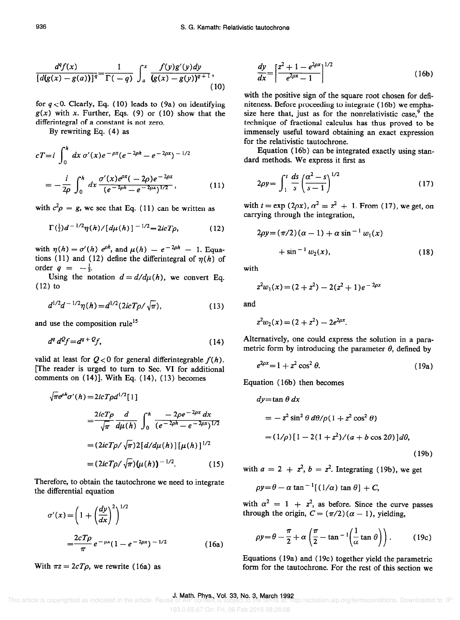$$
\left\lfloor d(g(x) - g(a)) \right\rfloor^q \Gamma(-q) J_a(g(x) - g(y))^{q+1}
$$
\n(10)

1  $\int_{0}^{x} f(y)g'(y)dy$ 

0. Clearly, Eq. (10) leads to  $(9a)$  on identifying  $g(x)$  with x. Further, Eqs. (9) or (10) show that the differintegral of a constant is not zero.

By rewriting Eq. (4) as

$$
cT = i \int_0^h dx \sigma'(x) e^{-\rho x} (e^{-2\rho h} - e^{-2\rho x})^{-1/2}
$$
  
= 
$$
- \frac{i}{2\rho} \int_0^h dx \frac{\sigma'(x) e^{\rho x} (-2\rho) e^{-2\rho x}}{(e^{-2\rho h} - e^{-2\rho x})^{1/2}},
$$
(11)

with  $c^2 \rho = g$ , we see that Eq. (11) can be written as

$$
\Gamma(\frac{1}{2})d^{-1/2}\eta(h)/[d\mu(h)]^{-1/2}=2icT\rho, \qquad (12)
$$

with  $\eta(h) = \sigma'(h) e^{\rho h}$ , and  $\mu(h) = e^{-2\rho h} - 1$ . Equations (11) and (12) define the differintegral of  $\eta(h)$  of order  $q = -\frac{1}{2}$ .

Using the notation  $d = d/d\mu(h)$ , we convert Eq. (12) to

$$
d^{1/2}d^{-1/2}\eta(h) = d^{1/2}(2icT\rho/\sqrt{\pi}),
$$
\n(13)

and use the composition rule<sup>15</sup>

$$
d^q d^q f = d^{q+q} f, \qquad (14)
$$

valid at least for  $Q < 0$  for general differintegrable  $f(h)$ . [The reader is urged to turn to Sec. VI for additional comments on (14)]. With Eq. (14), (13) becomes

$$
\sqrt{\pi}e^{\rho h}\sigma'(h) = 2icT\rho d^{1/2}[1]
$$
  
= 
$$
\frac{2icT\rho}{\sqrt{\pi}}\frac{d}{d\mu(h)}\int_0^h \frac{-2\rho e^{-2\rho x} dx}{(e^{-2\rho h} - e^{-2\rho x})^{1/2}}
$$
  
= 
$$
(2icT\rho/\sqrt{\pi})2[d/d\mu(h)][\mu(h)]^{1/2}
$$
  
= 
$$
(2icT\rho/\sqrt{\pi})(\mu(h))^{-1/2}.
$$
 (15)

Therefore, to obtain the tautochrone we need to integrate the differential equation

$$
\sigma'(x) = \left(1 + \left(\frac{dy}{dx}\right)^2\right)^{1/2}
$$
  
= 
$$
\frac{2cT\rho}{\pi} e^{-\rho x} (1 - e^{-2\rho x})^{-1/2}
$$
 (16a)

With  $\pi z = 2cT\rho$ , we rewrite (16a) as

$$
\frac{dy}{dx} = \left[\frac{z^2 + 1 - e^{2\rho x}}{e^{2\rho x} - 1}\right]^{1/2}
$$
 (16b)

with the positive sign of the square root chosen for definiteness. Before proceeding to integrate ( 16b) we emphasize here that, just as for the nonrelativistic case, $9$  the technique of fractional calculus has thus proved to be immensely useful toward obtaining an exact expression for the relativistic tautochrone.

Equation ( 16b) can be integrated exactly using standard methods. We express it first as

$$
2\rho y = \int_1^t \frac{ds}{s} \left(\frac{\alpha^2 - s}{s - 1}\right)^{1/2} \tag{17}
$$

with  $t = \exp(2\rho x)$ ,  $\alpha^2 = z^2 + 1$ . From (17), we get, on carrying through the integration,

$$
2\rho y = (\pi/2)(\alpha - 1) + \alpha \sin^{-1} w_1(x)
$$
  
+  $\sin^{-1} w_2(x)$ , (18)

with

$$
z^2w_1(x) = (2 + z^2) - 2(z^2 + 1)e^{-2\rho x}
$$

and

$$
z^2w_2(x) = (2 + z^2) - 2e^{2\rho x}.
$$

Alternatively, one could express the solution in a parametric form by introducing the parameter  $\theta$ , defined by

$$
e^{2\rho x} = 1 + z^2 \cos^2 \theta. \tag{19a}
$$

Equation ( 16b) then becomes

$$
dy = \tan \theta \, dx
$$
  
=  $-z^2 \sin^2 \theta \, d\theta / \rho (1 + z^2 \cos^2 \theta)$   
=  $(1/\rho)[1 - 2(1 + z^2)/(a + b \cos 2\theta)]d\theta$ , (19b)

with  $a = 2 + z^2$ ,  $b = z^2$ . Integrating (19b), we get

$$
\rho y = \theta - \alpha \tan^{-1}[(1/\alpha) \tan \theta] + C,
$$

with  $\alpha^2 = 1 + z^2$ , as before. Since the curve passes through the origin,  $C = (\pi/2)(\alpha - 1)$ , yielding,

$$
\rho y = \theta - \frac{\pi}{2} + \alpha \left( \frac{\pi}{2} - \tan^{-1} \left( \frac{1}{\alpha} \tan \theta \right) \right). \tag{19c}
$$

Equations ( $19a$ ) and ( $19c$ ) together yield the parametric form for the tautochrone. For the rest of this section we

 $d^q f(x)$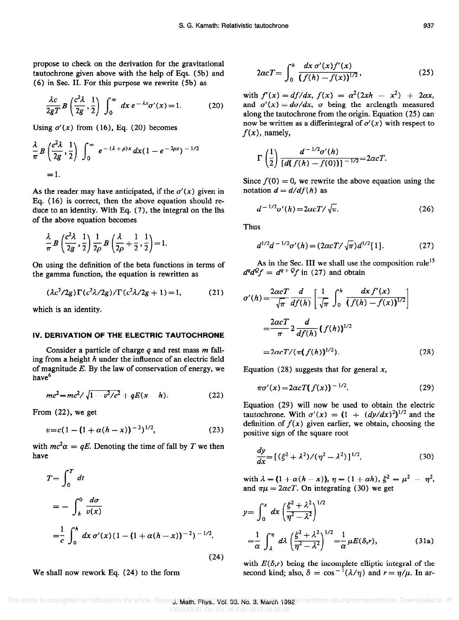propose to check on the derivation for the gravitational tautochrone given above with the help of Eqs. (5b) and (6) in Sec. II. For this purpose we rewrite (Sb) as

$$
\frac{\lambda c}{2gT} B\left(\frac{c^2 \lambda}{2g}, \frac{1}{2}\right) \int_0^\infty dx \, e^{-\lambda x} \sigma'(x) = 1. \tag{20}
$$

Using  $\sigma'(x)$  from (16), Eq. (20) becomes

$$
\frac{\lambda}{\pi} B\left(\frac{c^2\lambda}{2g}, \frac{1}{2}\right) \int_0^\infty e^{-(\lambda+\rho)x} dx (1-e^{-2\rho x})^{-1/2}
$$
  
= 1.

As the reader may have anticipated, if the  $\sigma'(x)$  given in Eq. ( 16) is correct, then the above equation should reduce to an identity. With Eq. (7), the integral on the lhs of the above equation becomes

$$
\frac{\lambda}{\pi} B\left(\frac{c^2\lambda}{2g},\frac{1}{2}\right) \frac{1}{2\rho} B\left(\frac{\lambda}{2\rho}+\frac{1}{2},\frac{1}{2}\right) = 1.
$$

On using the definition of the beta functions in terms of the gamma function, the equation is rewritten as

$$
(\lambda c^2/2g)\Gamma(c^2\lambda/2g)/\Gamma(c^2\lambda/2g+1)=1,
$$
 (21)

which is an identity.

#### IV. DERIVATION OF THE ELECTRIC TAUTOCHRONE

Consider a particle of charge  $q$  and rest mass  $m$  falling from a height  $h$  under the influence of an electric field of magnitude  $E$ . By the law of conservation of energy, we have<sup>6</sup>

$$
mc^2 = mc^2 / \sqrt{1 - v^2/c^2} + qE(x - h).
$$
 (22)

From (22), we get

$$
v = c(1 - (1 + \alpha(h - x))^{-2})^{1/2}, \tag{23}
$$

with  $mc^2\alpha = qE$ . Denoting the time of fall by T we then have

$$
T = \int_0^T dt
$$
  
=  $-\int_h^0 \frac{d\sigma}{v(x)}$   
=  $\frac{1}{c} \int_0^h dx \sigma'(x) (1 - (1 + \alpha(h - x))^{-2})^{-1/2}.$ 

We shall now rework Eq. (24) to the form

$$
2\alpha cT = \int_0^h \frac{dx \, \sigma'(x) f'(x)}{(f(h) - f(x))^{1/2}},\tag{25}
$$

with  $f'(x) = df/dx$ ,  $f(x) = \alpha^2(2xh - x^2) + 2\alpha x$ , and  $\sigma'(x) = d\sigma/dx$ ,  $\sigma$  being the arclength measured along the tautochrone from the origin. Equation (25) can now be written as a differintegral of  $\sigma'(x)$  with respect to  $f(x)$ , namely,

$$
\Gamma\left(\frac{1}{2}\right)\frac{d^{-1/2}\sigma'(h)}{[d(f(h)-f(0))]^{-1/2}}=2\alpha cT.
$$

Since  $f(0) = 0$ , we rewrite the above equation using the notation  $d = d/df(h)$  as

$$
d^{-1/2}\sigma'(h) = 2\alpha c T / \sqrt{\pi}.
$$
 (26)

Thus

$$
d^{1/2}d^{-1/2}\sigma'(h) = (2\alpha cT/\sqrt{\pi})d^{1/2}[1].
$$
 (27)

As in the Sec. III we shall use the composition rule<sup>15</sup>  $d^q d^q f = d^{q+q} f$  in (27) and obtain

$$
\sigma'(h) = \frac{2\alpha cT}{\sqrt{\pi}} \frac{d}{df(h)} \left[ \frac{1}{\sqrt{\pi}} \int_0^h \frac{dx f'(x)}{(f(h) - f(x))^{1/2}} \right]
$$

$$
= \frac{2\alpha cT}{\pi} 2 \frac{d}{df(h)} (f(h))^{1/2}
$$

$$
= 2\alpha cT/(\pi(f(h))^{1/2}).
$$
(28)

Equation (28) suggests that for general  $x$ ,

$$
\pi\sigma'(x) = 2\alpha c T(f(x))^{-1/2}.
$$
 (29)

Equation (29) will now be used to obtain the electric tautochrone. With  $\sigma'(x) = (1 + (dy/dx)^2)^{1/2}$  and the definition of  $f(x)$  given earlier, we obtain, choosing the positive sign of the square root

$$
\frac{dy}{dx} = [(\xi^2 + \lambda^2)/(\eta^2 - \lambda^2)]^{1/2},\tag{30}
$$

with  $\lambda=(1+\alpha(h-x)),~\eta=(1+\alpha h),~\xi^2=\mu^2 - \eta^2,$ and  $\pi\mu = 2\alpha cT$ . On integrating (30) we get

$$
y = \int_0^x dx \left(\frac{\xi^2 + \lambda^2}{\eta^2 - \lambda^2}\right)^{1/2}
$$
  
=  $\frac{1}{\alpha} \int_{\lambda}^{\eta} d\lambda \left(\frac{\xi^2 + \lambda^2}{\eta^2 - \lambda^2}\right)^{1/2} = \frac{1}{\alpha} \mu E(\delta, r),$  (31a)

(24) with  $E(\delta,r)$  being the incomplete elliptic integral of the second kind; also,  $\delta = \cos^{-1}(\lambda/\eta)$  and  $r = \eta/\mu$ . In ar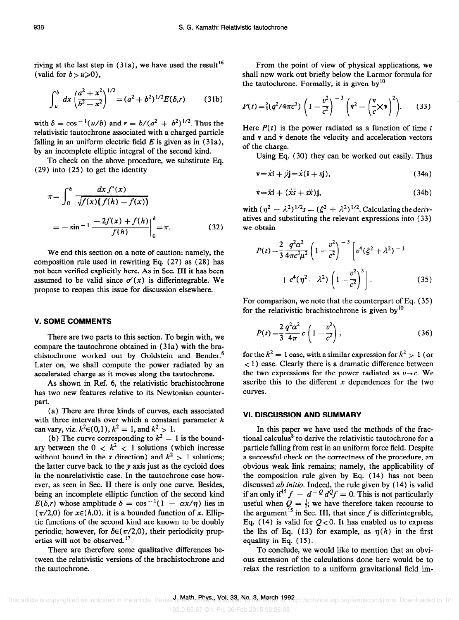riving at the last step in  $(31a)$ , we have used the result<sup>16</sup> (valid for  $b > u \ge 0$ ).

$$
\int_{u}^{b} dx \left(\frac{a^{2}+x^{2}}{b^{2}-x^{2}}\right)^{1/2} = (a^{2}+b^{2})^{1/2}E(\delta,r)
$$
 (31b)

with  $\delta = \cos^{-1}(u/b)$  and  $r = b/(a^2 + b^2)^{1/2}$ . Thus the relativistic tautochrone associated with a charged particle falling in an uniform electric field  $E$  is given as in (31a), by an incomplete elliptic integral of the second kind.

To check on the above procedure, we substitute Eq. (29) into (25) to get the identity

$$
\pi = \int_0^h \frac{dx f'(x)}{\sqrt{f(x)(f(h) - f(x))}}
$$
  
=  $-\sin^{-1} \frac{-2f(x) + f(h)}{f(h)} \Big|_0^h = \pi.$  (32)

We end this section on a note of caution: namely, the composition rule used in rewriting Eq. (27) as (28) has not been verified explicitly here. As in Sec. III it has been assumed to be valid since  $\sigma'(x)$  is differintegrable. We propose to reopen this issue for discussion elsewhere.

#### V. SOME COMMENTS

There are two parts to this section. To begin with, we compare the tautochrone obtained in  $(31a)$  with the brachistochrone worked out by Goldstein and Bender.<sup>6</sup> Later on, we shall compute the power radiated by an accelerated charge as it moves along the tautochrone.

As shown in Ref. 6, the relativistic brachistochrone has two new features relative to its Newtonian counterpart.

(a) There are three kinds of curves, each associated with three intervals over which a constant parameter  $k$ can vary, viz.  $k^2 \in (0,1)$ ,  $k^2 = 1$ , and  $k^2 > 1$ .

(b) The curve corresponding to  $k^2 = 1$  is the boundary between the  $0 < k^2 < 1$  solutions (which increase without bound in the x direction) and  $k^2 > 1$  solutions; the latter curve back to the y axis just as the cycloid does in the nonrelativistic case. In the tautochrone case however, as seen in Sec. II there is only one curve. Besides, being an incomplete elliptic function of the second kind  $E(\delta,r)$  whose amplitude  $\delta = \cos^{-1}(1 - \alpha x/\eta)$  lies in  $(\pi/2,0)$  for  $x\in(h,0)$ , it is a bounded function of x. Elliptic functions of the second kind are known to be doubly periodic; however, for  $\delta \in (\pi/2,0)$ , their periodicity properties will not be observed.<sup>17</sup>

There are therefore some qualitative differences between the relativistic versions of the brachistochrone and the tautochrone.

From the point of view of physical applications, we shall now work out briefly below the Larmor formula for the tautochrone. Formally, it is given by $10$ 

$$
P(t) = \frac{2}{3}(q^2/4\pi c^3) \left(1 - \frac{v^2}{c^2}\right)^{-3} \left(\dot{\mathbf{v}}^2 - \left(\frac{\mathbf{v}}{c}\times\dot{\mathbf{v}}\right)^2\right).
$$
 (33)

Here  $P(t)$  is the power radiated as a function of time t and  $v$  and  $\dot{v}$  denote the velocity and acceleration vectors of the charge.

Using Eq. (30) they can be worked out easily. Thus

$$
\mathbf{v} = x\mathbf{i} + y\mathbf{j} = x(\mathbf{i} + s\mathbf{j}),\tag{34a}
$$

$$
\dot{\mathbf{v}} = \ddot{x}\mathbf{i} + (\dot{x}\dot{s} + s\ddot{x})\mathbf{j},\tag{34b}
$$

with  $(\eta^2 - \lambda^2)^{1/2} s = (\xi^2 + \lambda^2)^{1/2}$ . Calculating the derivatives and substituting the relevant expressions into (33) we obtain

$$
P(t) = \frac{2}{3} \frac{q^2 \alpha^2}{4 \pi c^3 \mu^2} \left( 1 - \frac{v^2}{c^2} \right)^{-3} \left[ v^4 (\xi^2 + \lambda^2)^{-1} + c^4 (\eta^2 - \lambda^2) \left( 1 - \frac{v^2}{c^2} \right)^3 \right].
$$
 (35)

For comparison, we note that the counterpart of Eq. (35) for the relativistic brachistochrone is given by  $10$ 

$$
P(t) = \frac{2}{3} \frac{q^2 \alpha^2}{4\pi} c \left( 1 - \frac{v^2}{c^2} \right),
$$
 (36)

for the  $k^2 = 1$  case, with a similar expression for  $k^2 > 1$  (or < 1) case. Clearly there is a dramatic difference between the two expressions for the power radiated as  $v \rightarrow c$ . We ascribe this to the different  $x$  dependences for the two curves.

#### VI. DISCUSSION AND SUMMARY

In this paper we have used the methods of the fractional calculus<sup>8</sup> to derive the relativistic tautochrone for a particle falling from rest in an uniform force field. Despite a successful check on the correctness of the procedure, an obvious weak link remains; namely, the applicability of the composition rule given by Eq. (14) has not been discussed *ab initio*. Indeed, the rule given by (14) is valid if an only if<sup>15</sup>  $f - d^{-Q} d^{Q} f = 0$ . This is not particularly useful when  $Q = \frac{1}{2}$ ; we have therefore taken recourse to the argument<sup>15</sup> in Sec. III, that since  $f$  is differintegrable, Eq. (14) is valid for  $Q < 0$ . It has enabled us to express the lhs of Eq. (13) for example, as  $\eta(h)$  in the first equality in Eq. ( 15).

To conclude, we would like to mention that an obvious extension of the calculations done here would be to relax the restriction to a uniform gravitational field im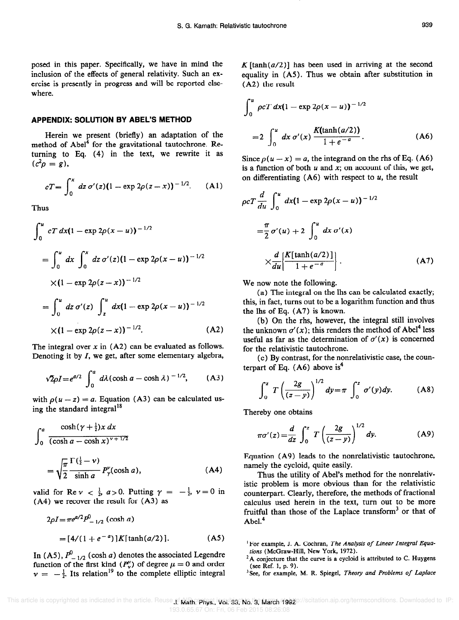posed in this paper. Specifically, we have in mind the inclusion of the effects of general relativity. Such an exercise is presently in progress and will be reported elsewhere.

#### APPENDIX: SOLUTION BY ABEL'S METHOD

Herein we present (briefly) an adaptation of the method of Abel<sup>4</sup> for the gravitational tautochrone. Returning to Eq. (4) in the text, we rewrite it as  $(c^{2}\rho = g),$ 

$$
cT = \int_0^x dz \, \sigma'(z) (1 - \exp 2\rho(z - x))^{-1/2}.
$$
 (A1)

Thus

$$
\int_0^u cT dx (1 - \exp 2\rho(x - u))^{-1/2}
$$
  
= 
$$
\int_0^u dx \int_0^x dz \sigma'(z) (1 - \exp 2\rho(x - u))^{-1/2}
$$
  

$$
\times (1 - \exp 2\rho(z - x))^{-1/2}
$$
  
= 
$$
\int_0^u dz \sigma'(z) \int_z^u dx (1 - \exp 2\rho(x - u))^{-1/2}
$$
  

$$
\times (1 - \exp 2\rho(z - x))^{-1/2}.
$$
 (A2)

The integral over  $x$  in (A2) can be evaluated as follows. Denoting it by  $I$ , we get, after some elementary algebra,

$$
\sqrt{2}\rho I = e^{a/2} \int_0^a d\lambda (\cosh a - \cosh \lambda)^{-1/2}, \qquad (A3)
$$

with  $\rho(u-z) = a$ . Equation (A3) can be calculated using the standard integral<sup>18</sup>

$$
\int_{0}^{a} \frac{\cosh(\gamma + \frac{1}{2})x \, dx}{(\cosh a - \cosh x)^{\gamma + 1/2}}
$$

$$
= \sqrt{\frac{\pi}{2}} \frac{\Gamma(\frac{1}{2} - \nu)}{\sinh a} P_{\gamma}^{\nu}(\cosh a), \tag{A4}
$$

valid for Re  $\nu < \frac{1}{2}$ ,  $a > 0$ . Putting  $\gamma = -\frac{1}{2}$ ,  $\nu = 0$  in (A4) we recover the result for (A3) as

$$
2\rho I = \pi e^{a/2} P_{-1/2}^{0}
$$
 (cosh a)  
=  $[4/(1 + e^{-a})]K[\tanh(a/2)].$  (A5)

In (A5),  $P'_{-1/2}$  (cosh a) denotes the associated Legendre function of the first kind  $(P_v^{\mu})$  of degree  $\mu = 0$  and order  $\nu = -\frac{1}{2}$ . Its relation<sup>19</sup> to the complete elliptic integral K  $[\tanh(a/2)]$  has been used in arriving at the second equality in (A5). Thus we obtain after substitution in (A2) the result

$$
\int_0^u \rho c T \, dx (1 - \exp 2\rho (x - u))^{-1/2}
$$
  
= 
$$
2 \int_0^u dx \, \sigma'(x) \, \frac{K(\tanh(a/2))}{1 + e^{-a}}.
$$
 (A6)

Since  $\rho(u - x) = a$ , the integrand on the rhs of Eq. (A6) is a function of both  $u$  and  $x$ ; on account of this, we get, on differentiating  $(A6)$  with respect to  $u$ , the result

$$
\rho c T \frac{d}{du} \int_0^u dx (1 - \exp 2\rho (x - u))^{-1/2}
$$
  
=  $\frac{\pi}{2} \sigma'(u) + 2 \int_0^u dx \sigma'(x)$   
 $\times \frac{d}{du} \left[ \frac{K[\tanh(a/2)]}{1 + e^{-a}} \right].$  (A7)

We now note the following.

(a) The integral on the lhs can be calculated exactly; this, in fact, turns out to be a logarithm function and thus the lhs of Eq. (A7) is known.

(b) On the rhs, however, the integral still involves the unknown  $\sigma'(x)$ ; this renders the method of Abel<sup>4</sup> less useful as far as the determination of  $\sigma'(x)$  is concerned for the relativistic tautochrone.

(c) By contrast, for the nonrelativistic case, the counterpart of Eq.  $(A6)$  above is<sup>4</sup>

$$
\int_0^z T\left(\frac{2g}{(z-y)}\right)^{1/2} dy = \pi \int_0^z \sigma'(y) dy.
$$
 (A8)

Thereby one obtains

$$
\pi\sigma'(z) = \frac{d}{dz} \int_0^z T\left(\frac{2g}{(z-y)}\right)^{1/2} dy.
$$
 (A9)

Equation (A9) leads to the nonrelativistic tautochrone, namely the cycloid, quite easily.

Thus the utility of Abel's method for the nonrelativistic problem is more obvious than for the relativistic counterpart. Clearly, therefore, the methods of fractional calculus used herein in the text, turn out to be more fruitful than those of the Laplace transform<sup>3</sup> or that of Abel. $4$ 

<sup>&</sup>lt;sup>1</sup> For example, J. A. Cochran, The Analysis of Linear Integral Equations (McGraw-Hill, New York, 1972).

 $2A$  conjecture that the curve is a cycloid is attributed to C. Huygens (see Ref. 1, p. 9).

<sup>&</sup>lt;sup>3</sup>See, for example, M. R. Spiegel, Theory and Problems of Laplace